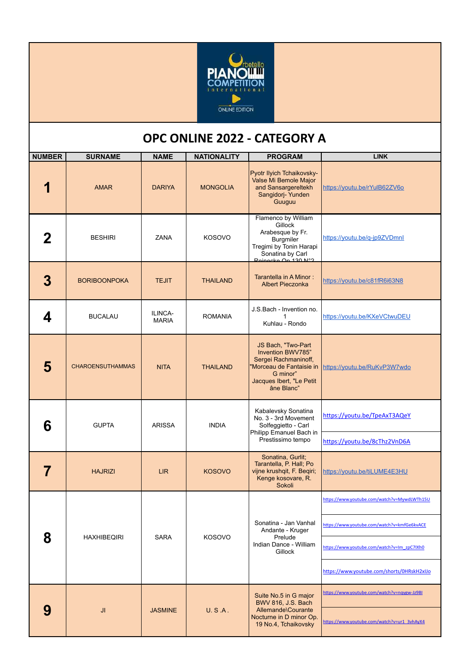

## **OPC ONLINE 2022 - CATEGORY A**

| <b>NUMBER</b> | <b>SURNAME</b>          | <b>NAME</b>             | <b>NATIONALITY</b> | <b>PROGRAM</b>                                                                                                                                    | <b>LINK</b>                                                                                                                                                                             |
|---------------|-------------------------|-------------------------|--------------------|---------------------------------------------------------------------------------------------------------------------------------------------------|-----------------------------------------------------------------------------------------------------------------------------------------------------------------------------------------|
|               | <b>AMAR</b>             | <b>DARIYA</b>           | <b>MONGOLIA</b>    | Pyotr Ilyich Tchaikovsky-<br>Valse Mi Bemole Major<br>and Sansargereltekh<br>Sangidorj- Yunden<br>Guuguu                                          | https://youtu.be/rYulB62ZV6o                                                                                                                                                            |
| 2             | <b>BESHIRI</b>          | ZANA                    | <b>KOSOVO</b>      | Flamenco by William<br>Gillock<br>Arabesque by Fr.<br><b>Burgmiler</b><br>Tregimi by Tonin Harapi<br>Sonatina by Carl<br>Peinecke Op. 130 Nº2     | https://youtu.be/g-jp9ZVDmnl                                                                                                                                                            |
| 3             | <b>BORIBOONPOKA</b>     | <b>TEJIT</b>            | <b>THAILAND</b>    | Tarantella in A Minor:<br><b>Albert Pieczonka</b>                                                                                                 | https://youtu.be/c81fR6i63N8                                                                                                                                                            |
| 4             | <b>BUCALAU</b>          | ILINCA-<br><b>MARIA</b> | <b>ROMANIA</b>     | J.S.Bach - Invention no.<br>1<br>Kuhlau - Rondo                                                                                                   | https://youtu.be/KXeVCtwuDEU                                                                                                                                                            |
| 5             | <b>CHAROENSUTHAMMAS</b> | <b>NITA</b>             | <b>THAILAND</b>    | JS Bach, "Two-Part<br>Invention BWV785"<br>Sergei Rachmaninoff,<br>'Morceau de Fantaisie in<br>G minor"<br>Jacques Ibert, "Le Petit<br>âne Blanc" | https://youtu.be/RuKvP3W7wdo                                                                                                                                                            |
| 6             | <b>GUPTA</b>            | <b>ARISSA</b>           | <b>INDIA</b>       | Kabalevsky Sonatina<br>No. 3 - 3rd Movement<br>Solfeggietto - Carl<br>Philipp Emanuel Bach in<br>Prestissimo tempo                                | https://youtu.be/TpeAxT3AQeY<br>https://youtu.be/8cThz2VnD6A                                                                                                                            |
|               | <b>HAJRIZI</b>          | <b>LIR</b>              | <b>KOSOVO</b>      | Sonatina, Gurlit;<br>Tarantella, P. Hall; Po<br>vijne krushqit, F. Beqiri;<br>Kenge kosovare, R.<br>Sokoli                                        | https://youtu.be/tiLUME4E3HU                                                                                                                                                            |
| 8             | <b>HAXHIBEQIRI</b>      | <b>SARA</b>             | <b>KOSOVO</b>      | Sonatina - Jan Vanhal<br>Andante - Kruger<br>Prelude<br>Indian Dance - William<br>Gillock                                                         | https://www.youtube.com/watch?v=MywdLWTh15U<br>https://www.youtube.com/watch?v=kmfGe6kvACE<br>https://www.youtube.com/watch?v=Im_zpC7IXh0<br>https://www.youtube.com/shorts/0HRskH2xIJo |
| 9             | JI                      | <b>JASMINE</b>          | U.S.A.             | Suite No.5 in G major<br>BWV 816, J.S. Bach<br>Allemande\Courante<br>Nocturne in D minor Op.<br>19 No.4, Tchaikovsky                              | https://www.youtube.com/watch?v=nqygw-Jz9BI<br>https://www.youtube.com/watch?v=ur1_3vhAyX4                                                                                              |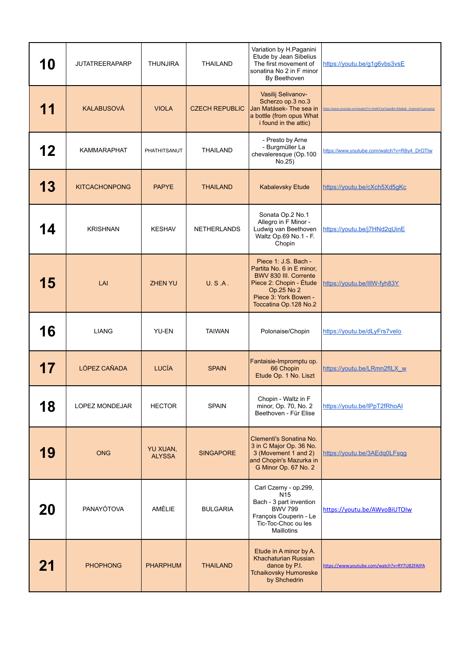| 10 | <b>JUTATREERAPARP</b> | <b>THUNJIRA</b>           | <b>THAILAND</b>       | Variation by H.Paganini<br>Etude by Jean Sibelius<br>The first movement of<br>sonatina No 2 in F minor<br>By Beethoven                                                | https://youtu.be/g1g6vbs3vsE                                         |
|----|-----------------------|---------------------------|-----------------------|-----------------------------------------------------------------------------------------------------------------------------------------------------------------------|----------------------------------------------------------------------|
| 11 | <b>KALABUSOVÁ</b>     | <b>VIOLA</b>              | <b>CZECH REPUBLIC</b> | Vasilij Selivanov-<br>Scherzo op.3 no.3<br>Jan Matásek- The sea in<br>a bottle (from opus What<br>i found in the attic)                                               | https://www.youtube.com/watch?v=dveKYza7qew&t=40s&ab_channel=Lamusic |
| 12 | <b>KAMMARAPHAT</b>    | PHATHITSANUT              | <b>THAILAND</b>       | - Presto by Arne<br>- Burgmüller La<br>chevaleresque (Op.100<br>No.25)                                                                                                | https://www.youtube.com/watch?v=R8y4_DrOTtw                          |
| 13 | <b>KITCACHONPONG</b>  | <b>PAPYE</b>              | <b>THAILAND</b>       | Kabalevsky Etude                                                                                                                                                      | https://youtu.be/cXch5Xd5gKc                                         |
| 14 | <b>KRISHNAN</b>       | <b>KESHAV</b>             | <b>NETHERLANDS</b>    | Sonata Op.2 No.1<br>Allegro in F Minor -<br>Ludwig van Beethoven<br>Waltz Op.69 No.1 - F.<br>Chopin                                                                   | https://youtu.be/j7HNd2qUinE                                         |
| 15 | LAI                   | <b>ZHEN YU</b>            | U.S.A.                | Piece 1: J.S. Bach -<br>Partita No. 6 in E minor,<br>BWV 830 III. Corrente<br>Piece 2: Chopin - Étude<br>Op.25 No 2<br>Piece 3: York Bowen -<br>Toccatina Op.128 No.2 | https://youtu.be/IIIW-fyh83Y                                         |
| 16 | <b>LIANG</b>          | YU-EN                     | <b>TAIWAN</b>         | Polonaise/Chopin                                                                                                                                                      | https://youtu.be/dLyFrs7velo                                         |
| 17 | LÓPEZ CAÑADA          | <b>LUCÍA</b>              | <b>SPAIN</b>          | Fantaisie-Impromptu op.<br>66 Chopin<br>Etude Op. 1 No. Liszt                                                                                                         | https://youtu.be/LRmn2fILX_w                                         |
| 18 | LOPEZ MONDEJAR        | <b>HECTOR</b>             | <b>SPAIN</b>          | Chopin - Waltz in F<br>minor, Op. 70, No. 2<br>Beethoven - Für Elise                                                                                                  | https://youtu.be/IPpT2fRhoAI                                         |
| 19 | <b>ONG</b>            | YU XUAN,<br><b>ALYSSA</b> | <b>SINGAPORE</b>      | Clementi's Sonatina No.<br>3 in C Major Op. 36 No.<br>3 (Movement 1 and 2)<br>and Chopin's Mazurka in<br>G Minor Op. 67 No. 2                                         | https://youtu.be/3AEdq0LFsqg                                         |
| 20 | PANAYÓTOVA            | AMÉLIE                    | <b>BULGARIA</b>       | Carl Czerny - op.299,<br>N <sub>15</sub><br>Bach - 3 part invention<br><b>BWV 799</b><br>François Couperin - Le<br>Tic-Toc-Choc ou les<br>Maillotins                  | https://youtu.be/AWvoBiUTOIw                                         |
| 21 | <b>PHOPHONG</b>       | <b>PHARPHUM</b>           | <b>THAILAND</b>       | Etude in A minor by A.<br><b>Khachaturian Russian</b><br>dance by P.I.<br><b>Tchaikovsky Humoreske</b><br>by Shchedrin                                                | https://www.youtube.com/watch?v=RY7U82FAtFA                          |